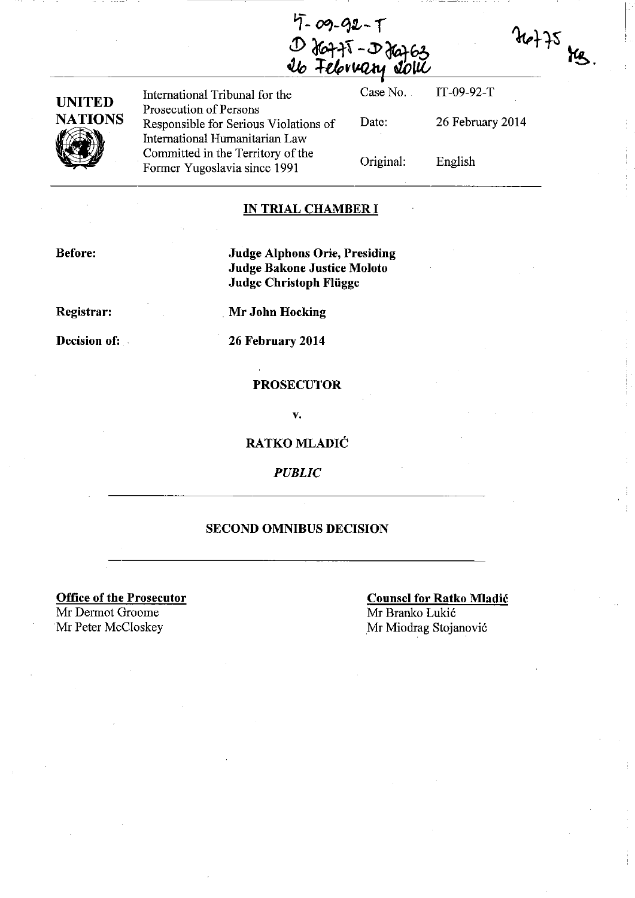4-09-92-T<br>D Ja75-D Ja763<br><u>Ib February Jolu</u>



International Tribunal for the Prosecution of Persons Responsible for Serious Violations of International Humanitarian Law Committed in the Territory of the Former Yugoslavia since 1991

Case No. Date: Original: IT-09-92-T 26 February 2014 English

I

 $46 + 75$  kg.

#### **IN TRIAL CHAMBER I**

**Before:** 

**Judge Alphons Orie, Presiding Judge Bakone Justice Moloto Judge Christoph Fliigge** 

**Registrar:** 

**Decision of:** 

. **Mr John Hocking** 

**26 February 2014** 

#### **PROSECUTOR**

v.

**RATKO MLADIC** 

*PUBLIC* 

#### **SECOND OMNIBUS DECISION**

**Office of the Prosecutor**  Mr Dermot Groome Mr Peter McCloskey Mr Miodrag Stojanović

**Counsel for Ratko Mladic**  Mr Branko Lukic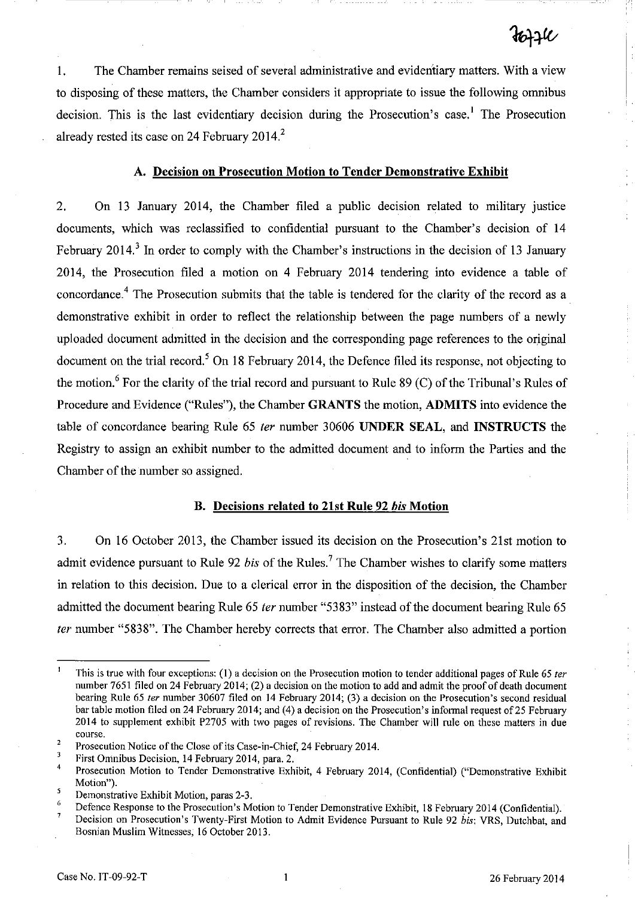1. The Chamber remains seised of several administrative and evidentiary matters. With a view to disposing of these matters, the Chamber considers it appropriate to issue the following omnibus decision. This is the last evidentiary decision during the Prosecution's case.<sup>1</sup> The Prosecution already rested its case on 24 February 2014?

### A. Decision on Prosecution Motion to Tender Demonstrative Exhibit

2. On 13 January 2014, the Chamber filed a public decision related to military justice documents, which was reclassified to confidential pursuant to the Chamber's decision of 14 February 2014.<sup>3</sup> In order to comply with the Chamber's instructions in the decision of 13 January 2014, the Prosecution filed a motion on 4 February 2014 tendering into evidence a table of concordance.<sup>4</sup> The Prosecution submits that the table is tendered for the clarity of the record as a demonstrative exhibit in order to reflect the relationship between the page numbers of a newly uploaded document admitted in the decision and the corresponding page references to the original document on the trial record.<sup>5</sup> On 18 February 2014, the Defence filed its response, not objecting to the motion.<sup>6</sup> For the clarity of the trial record and pursuant to Rule 89 (C) of the Tribunal's Rules of Procedure and Evidence ("Rules"), the Chamber GRANTS the motion, ADMITS into evidence the table of concordance bearing Rule 65 *ter* number 30606 UNDER SEAL, and INSTRUCTS the Registry to assign an exhibit number to the admitted document and to inform the Parties and the Chamber of the number so assigned.

#### B. Decisions related to 21st Rule 92 bis Motion

3. On 16 October 2013, the Chamber issued its decision on the Prosecution's 21st motion to admit evidence pursuant to Rule 92 *bis* of the Rules.<sup>7</sup> The Chamber wishes to clarify some matters in relation to this decision. Due to a clerical error in the disposition of the decision, the Chamber admitted the document bearing Rule 65 *ter* number "5383" instead of the document bearing Rule 65 fer number "5838". The Chamber hereby corrects that error. The Chamber also admitted a portion

This is true with four exceptions: (1) a decision on the Prosecution motion to tender additional pages of Rule 65 *ter*  number 7651 filed on 24 February 2014; (2) a decision on the motion to add and admit the proof of death document bearing Rule 65 *ter* number 30607 filed on 14 February 2014; (3) a decision on the Prosecution's second residual bar table motion filed on 24 February 2014; and (4) a decision on the Prosecution's informal request of 25 February 2014 to supplement exhibit P2705 with two pages of revisions. The Chamber will rule on these matters in due course,

<sup>2</sup>  Prosecution Notice of the Close of its Case-in-Chief, 24 February 2014.

 $\overline{\mathbf{3}}$ First Omnibus Decision, 14 February 2014, para. 2.

 $\overline{4}$ Prosecution Motion to Tender Demonstrative Exhibit, 4 February 2014, (Confidential) ("Demonstrative Exhibit Motion").

s Demonstrative Exhibit Motion, paras 2-3.

<sup>6</sup>  7 Defence Response to the Prosecution's Motion to Tender Demonstrative Exhibit, 18 February 2014 (Confidential).

Decision on Prosecution's Twenty-First Motion to Admit Evidence Pursuant to Rule 92 *bis:* VRS, Dutchbat, and Bosnian Muslim Witnesses, 16 October 2013.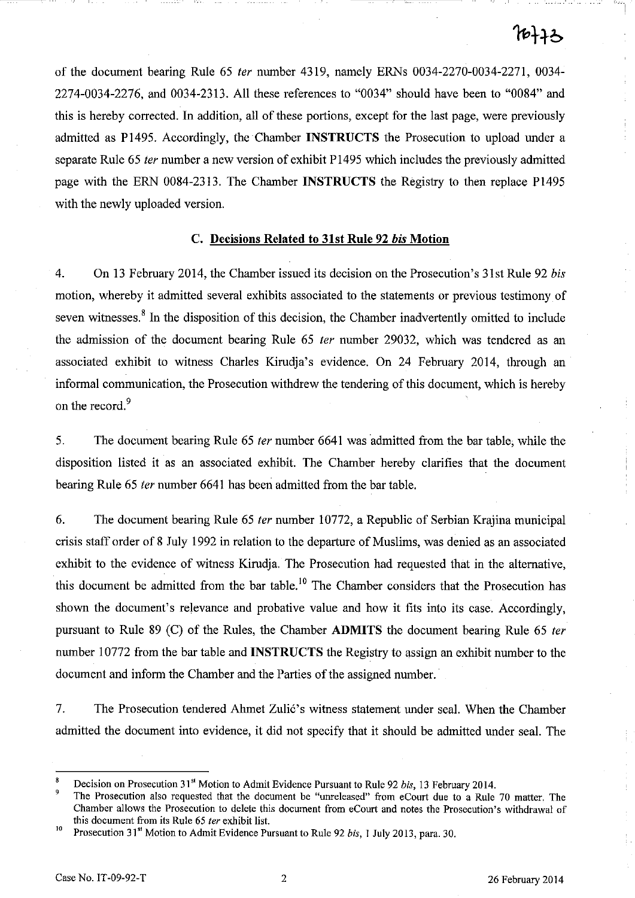of the document bearing Rule 65 fer number 4319, namely ERNs 0034-2270-0034-2271, 0034- 2274-0034-2276, and 0034-2313. All these references to "0034" should have been to "0084" and this is hereby corrected. In addition, all of these portions, except for the last page, were previously admitted as P1495. Accordingly, the Chamber INSTRUCTS the Prosecution to upload under a separate Rule 65 *ter* number a new version of exhibit P1495 which includes the previously admitted page with the ERN 0084-2313. The Chamber INSTRUCTS the Registry to then replace P1495 with the newly uploaded version.

### C. Decisions Related to 31st Rule 92 bis Motion

4. On 13 February 2014, the Chamber issued its decision on the Prosecution's 31st Rule 92 *bis*  motion, whereby it admitted several exhibits associated to the statements or previous testimony of seven witnesses.<sup>8</sup> In the disposition of this decision, the Chamber inadvertently omitted to include the admission of the document bearing Rule 65 ter number 29032, which was tendered as an associated exhibit to witness Charles Kirudja's evidence. On 24 February 2014, through an informal communication, the Prosecution withdrew the tendering of this document, which is hereby on the record.<sup>9</sup>

5. The document bearing Rule 65 fer number 6641 was admitted from the bar table, while the disposition listed it as an associated exhibit. The Chamber hereby clarifies that the document bearing Rule 65 fer number 6641 has been admitted from the bar table.

6. The document bearing Rule 65 ter number 10772, a Republic of Serbian Krajina municipal crisis staff order of 8 July 1992 in relation to the departure of Muslims, was denied as an associated exhibit to the evidence of witness Kirudja. The Prosecution had requested that in the alternative, this document be admitted from the bar table.<sup>10</sup> The Chamber considers that the Prosecution has shown the document's relevance and probative value and how it fits into its case. Accordingly, pursuant to Rule 89 (C) of the Rules, the Chamber ADMITS the document bearing Rule 65 ter number 10772 from the bar table and INSTRUCTS the Registry to assign an exhibit number to the document and inform the Chamber and the Parties of the assigned number.

7. The Prosecution tendered Ahmet Zulić's witness statement under seal. When the Chamber admitted the document into evidence, it did not specify that it should be admitted under seal. The

<sup>8</sup> Decision on Prosecution 31" Motion to Admit Evidence Pursuant to Rule 92 *bis,* 13 February 2014.

The Prosecution also requested that the document be "unreleased" from eCourt due to a Rule 70 matter. The Chamber allows the Prosecution to delete this document from eCourt and notes the Prosecution's withdrawal of this document from its Rule 65 fer exhibit list.

<sup>10</sup> Prosecution 31" Motion to Admit Evidence Pursuant to Rule 92 *bis,* I July 2013, para. 30.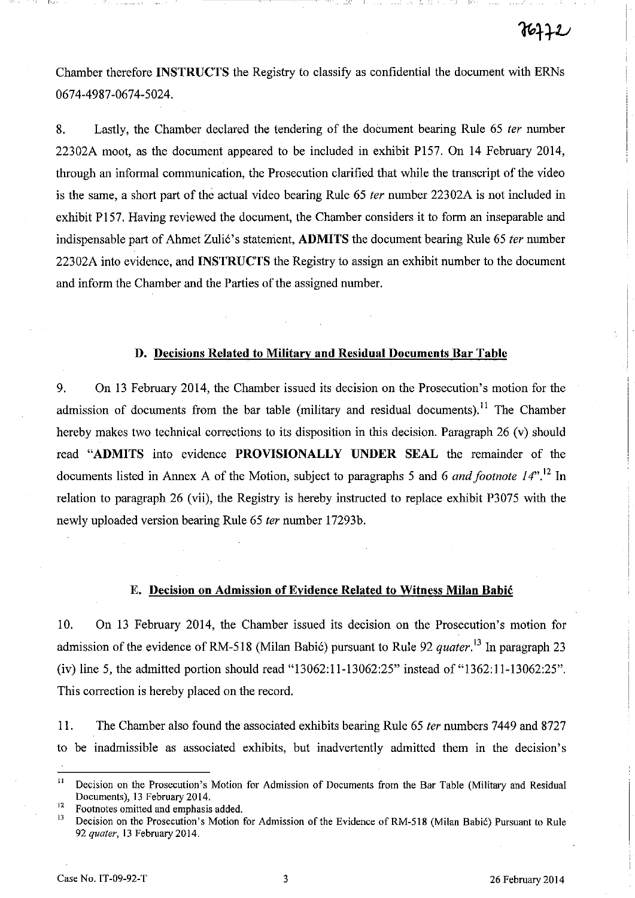Chamber therefore INSTRUCTS the Registry to classify as confidential the document with ERNs 0674-4987-0674-5024.

8. Lastly, the Chamber declared the tendering of the document bearing Rule 65 *ter* number 22302A moot, as the document appeared to be included in exhibit P157. On 14 February 2014, through an informal communication, the Prosecution clarified that while the transcript of the video is the same, a short part of the actual video bearing Rule 65 *ter* number 22302A is not included in exhibit P157. Having reviewed the document, the Chamber considers it to form an inseparable and indispensable part of Ahmet Zulić's statement, **ADMITS** the document bearing Rule 65 *ter* number 22302A into evidence, and INSTRUCTS the Registry to assign an exhibit number to the document and inform the Chamber and the Parties of the assigned number.

#### D. Decisions Related to Military and Residual Documents Bar Table

9. On 13 February 2014, the Chamber issued its decision on the Prosecution's motion for the admission of documents from the bar table (military and residual documents).<sup>11</sup> The Chamber hereby makes two technical corrections to its disposition in this decision. Paragraph 26 (v) should read "ADMITS into evidence PROVISIONALLY UNDER SEAL the remainder of the documents listed in Annex A of the Motion, subject to paragraphs 5 and 6 *and footnote* 14".<sup>12</sup> In relation to paragraph 26 (vii), the Registry is hereby instructed to replace exhibit P3075 with the newly uploaded version bearing Rule 65 *ter* number 17293b.

### E. Decision on Admission of Evidence Related to Witness Milan Babic

10. On 13 February 2014, the Chamber issued its decision on the Prosecution's motion for admission of the evidence of RM-518 (Milan Babić) pursuant to Rule 92 *quater*.<sup>13</sup> In paragraph 23 (iv) line 5, the admitted portion should read "13062:11-13062:25" instead of "1362:11-13062:25". This correction is hereby placed on the record.

11. The Chamber also found the associated exhibits bearing Rule 65 *ter* numbers 7449 and 8727 to be inadmissible as associated exhibits, but inadvertently admitted them in the decision's

<sup>12</sup> Footnotes omitted and emphasis added.<br><sup>13</sup> Decision on the Presenttion's Motion.

<sup>&</sup>lt;sup>11</sup> Decision on the Prosecution's Motion for Admission of Documents from the Bar Table (Military and Residual Documents), 13 February 2014.

Decision on the Prosecution's Motion for Admission of the Evidence of RM-518 (Milan Babić) Pursuant to Rule *92 quater,* 13 February 2014.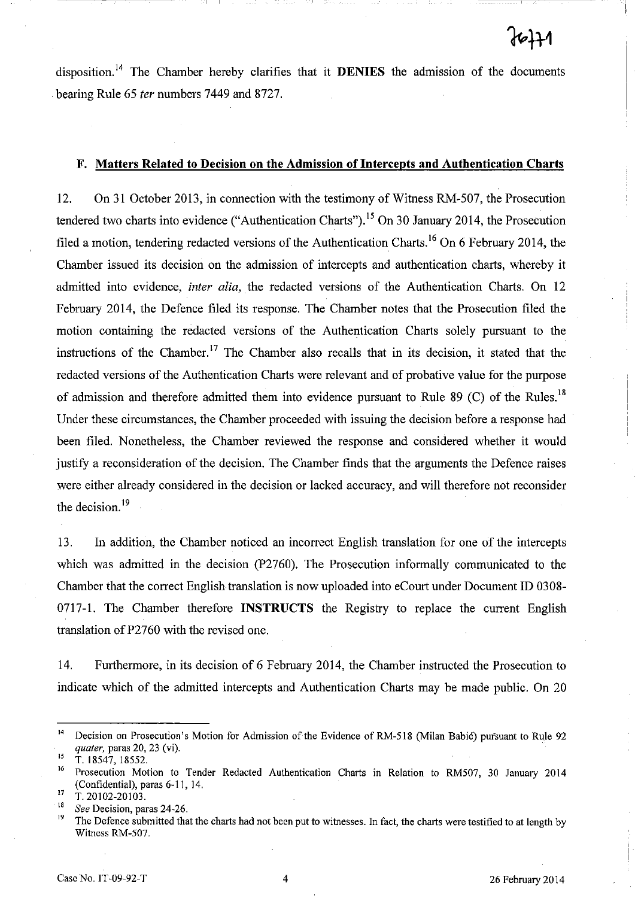disposition.<sup>14</sup> The Chamber hereby clarifies that it **DENIES** the admission of the documents bearing Rule 65 *ter* numbers 7449 and 8727.

I I - \_\_\_\_\_\_ I

#### F. Matters Related to Decision on the Admission of Intercepts and Authentication Charts

12. On 31 October 2013, in connection with the testimony of Witness RM-507, the Prosecution tendered two charts into evidence ("Authentication Charts"),  $^{15}$  On 30 January 2014, the Prosecution filed a motion, tendering redacted versions of the Authentication Charts.<sup>16</sup> On 6 February 2014, the Chamber issued its decision on the admission of intercepts and authentication charts, whereby it admitted into evidence, *inter alia,* the redacted versions of the Authentication Charts. On 12 February 2014, the Defence filed its response. The Chamber notes that the Prosecution filed the motion containing the redacted versions of the Authentication Charts solely pursuant to the instructions of the Chamber.<sup>17</sup> The Chamber also recalls that in its decision, it stated that the redacted versions of the Authentication Charts were relevant and of probative value for the purpose of admission and therefore admitted them into evidence pursuant to Rule 89 (C) of the Rules.<sup>18</sup> Under these circumstances, the Chamber proceeded with issuing the decision before a response had been filed. Nonetheless, the Chamber reviewed the response and considered whether it would justify a reconsideration of the decision. The Chamber finds that the arguments the Defence raises were either already considered in the decision or lacked accuracy, and will therefore not reconsider the decision.<sup>19</sup>

13. In addition, the Chamber noticed an incorrect English translation for one of the intercepts which was admitted in the decision (P2760). The Prosecution informally communicated to the Chamber that the correct English translation is now uploaded into eCourt under Document ID 0308- 0717-1. The Chamber therefore INSTRUCTS the Registry to replace the current English translation of P2760 with the revised one.

14. Furthermore, in its decision of 6 February 2014, the Chamber instructed the Prosecution to indicate which of the admitted intercepts and Authentication Charts may be made public. On 20

<sup>&</sup>lt;sup>14</sup> Decision on Prosecution's Motion for Admission of the Evidence of RM-518 (Milan Babić) pursuant to Rule 92 *quater,* paras 20, 23 (vi).

<sup>15</sup>**T. 18547, 18552.** 

<sup>16</sup> Prosecution Motion to Tender Redacted Authentication Charts in Relation to RM507, 30 January 2014 (Confidential), paras 6-11, 14.

 $\frac{17}{18}$  T. 20102-20103.

<sup>&</sup>lt;sup>18</sup> See Decision, paras 24-26.

<sup>19</sup> The Defence submitted that the charts had not been put to witnesses. In fact, the charts were testified to at length by Witness RM-507.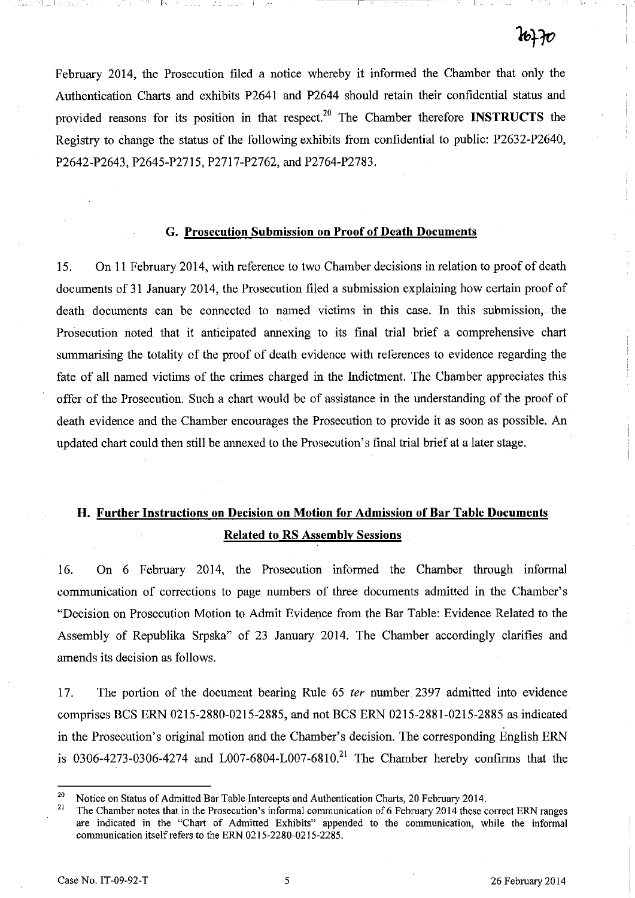February 2014, the Prosecution filed a notice whereby it informed the Chamber that only the Authentication Charts and exhibits P2641 and P2644 should retain their confidential status and provided reasons for its position in that respect.<sup>20</sup> The Chamber therefore **INSTRUCTS** the Registry to change the status of the following exhibits from confidential to public: P2632-P2640, P2642-P2643, P2645-P2715, P2717-P2762, and P2764-P2783.

, I 1:--

#### G. Prosecution Submission on Proof of Death Documents

15. On II February 2014, with reference to two Chamber decisions in relation to proof of death documents of 31 January 2014, the Prosecution filed a submission explaining how certain proof of death documents can be connected to named victims in this case. In this submission, the Prosecution noted that it anticipated annexing to its final trial brief a comprehensive chart summarising the totality of the proof of death evidence with references to evidence regarding the fate of all named victims of the crimes charged in the Indictment. The Chamber appreciates this offer of the Prosecution. Such a chart would be of assistance in the understanding of the proof of death evidence and the Chamber encourages the Prosecution to provide it as soon as possible. An updated chart could then still be annexed to the Prosecution's final trial brief at a later stage.

# H. Further Instructions on Decision on Motion for Admission of Bar Table Documents Related to RS Assembly Sessions

16. On 6 February 2014, the Prosecution informed the Chamber through informal communication of corrections to page numbers of three documents admitted in the Chamber's "Decision on Prosecution Motion to Admit Evidence from the Bar Table: Evidence Related to the Assembly of Republika Srpska" of 23 January 2014. The Chamber accordingly clarifies and amends its decision as follows.

17. The portion of the document bearing Rule 65 fer number. 2397 admitted into evidence comprises BCS ERN 0215-2880-0215-2885, and not BCS ERN 0215-2881-0215-2885 as indicated in the Prosecution's original motion and the Chamber's decision. The corresponding English ERN is 0306-4273-0306-4274 and L007-6804-L007-6810.<sup>21</sup> The Chamber hereby confirms that the

<sup>&</sup>lt;sup>20</sup> Notice on Status of Admitted Bar Table Intercepts and Authentication Charts, 20 February 2014.

The Chamber notes that in the Prosecution's informal communication of 6 February 2014 these correct ERN ranges are indicated in the "Chart of Admitted Exhibits" appended to the communication, while the informal communication itself refers to the ERN 0215-2280-0215-2285.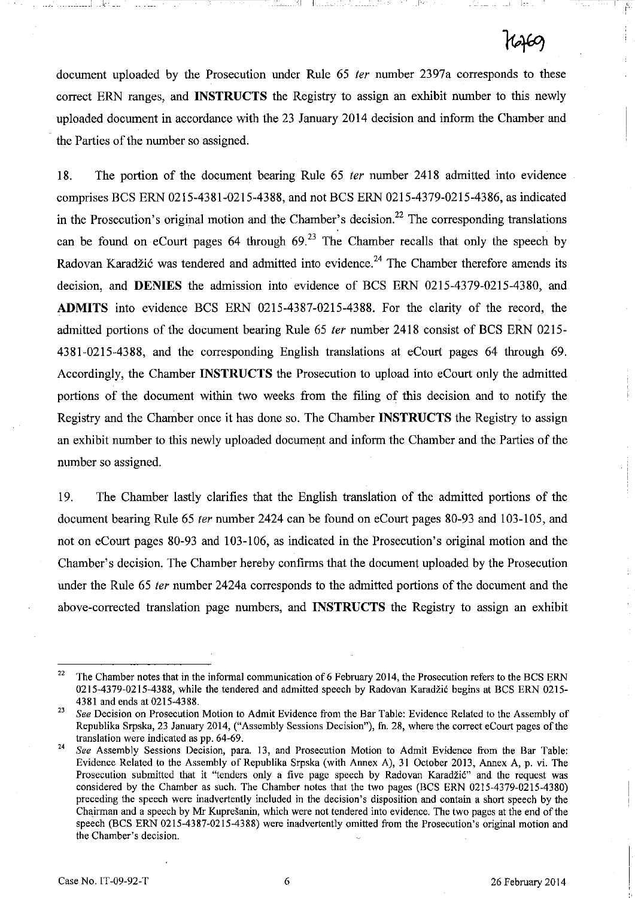document uploaded by the Prosecution under Rule 65 ter number 2397a corresponds to these correct ERN ranges, and **INSTRUCTS** the Registry to assign an exhibit number to this newly uploaded document in accordance with the 23 January 2014 decision and inform the Chamber and the Parties of the number so assigned.

I I

18. The portion of the document bearing Rule 65 *ter* number 2418 admitted into evidence comprises BCS ERN 0215-4381-0215-4388, and not BCS ERN 0215-4379-0215-4386, as indicated in the Prosecution's original motion and the Chamber's decision.<sup>22</sup> The corresponding translations can be found on eCourt pages 64 through  $69<sup>23</sup>$  The Chamber recalls that only the speech by Radovan Karadžić was tendered and admitted into evidence.<sup>24</sup> The Chamber therefore amends its decision, and **DENIES** the admission into evidence of BCS ERN 0215-4379-0215-4380, and **ADMITS** into evidence BCS ERN 0215-4387-0215-4388. For the clarity of the record, the admitted portions of the document bearing Rule 65 fer number 2418 consist of BCS ERN 0215- 4381-0215-4388, and the corresponding English translations at eCourt pages 64 through 69. Accordingly, the Chamber **INSTRUCTS** the Prosecution to upload into eCourt only the admitted portions of the document within two weeks from the filing of this decision and to notify the Registry and the Chamber once it has done so. The Chamber **INSTRUCTS** the Registry to assign an exhibit number to this newly uploaded document and inform the Chamber and the Parties of the number so assigned.

19. The Chamber lastly clarifies that the English translation of the admitted portions of the document bearing Rule 65 fer number 2424 can be found on eCourt pages 80-93 and 103-105, and not on eCourt pages 80-93 and 103-106, as indicated in the Prosecution's original motion and the Chamber's decision. The Chamber hereby confirms that the document uploaded by the Prosecution under the Rule 65 fer number 2424a corresponds to the admitted portions of the document and the above-corrected translation page numbers, and **INSTRUCTS** the Registry to assign an exhibit

<sup>&</sup>lt;sup>22</sup> The Chamber notes that in the informal communication of 6 February 2014, the Prosecution refers to the BCS ERN 0215-4379-0215-4388, while the tendered and admitted speech by Radovan Karadžić begins at BCS ERN 0215-4381 and ends at 0215-4388.

<sup>&</sup>lt;sup>23</sup> See Decision on Prosecution Motion to Admit Evidence from the Bar Table: Evidence Related to the Assembly of Republika Srpska, 23 January 2014, ("Assembly Sessions Decision"), fh. 28, where the correct eCourt pages of the translation were indicated as pp. 64-69.

<sup>24</sup>*See* Assembly Sessions Decision, para. 13, and Prosecution Motion to Admit Evidence from the Bar Table: Evidence Related to the Assembly of Republika Srpska (with Annex A), 31 October 2013, Annex A, p. vi. The Prosecution submitted that it "tenders only a five page speech by Radovan Karadžić" and the request was considered by the Chamber as such. The Chamber notes that the two pages (BCS ERN 0215-4379-0215-4380) preceding the speech were inadvertently included in the decision's disposition and contain a short speech by the Chairman and a speech by Mr Kupresanin, which were not tendered into evidence. The two pages at the end of the speech (BCS ERN 0215-4387-0215-4388) were inadvertently omitted from the Prosecution's original motion and the Chamber's decision.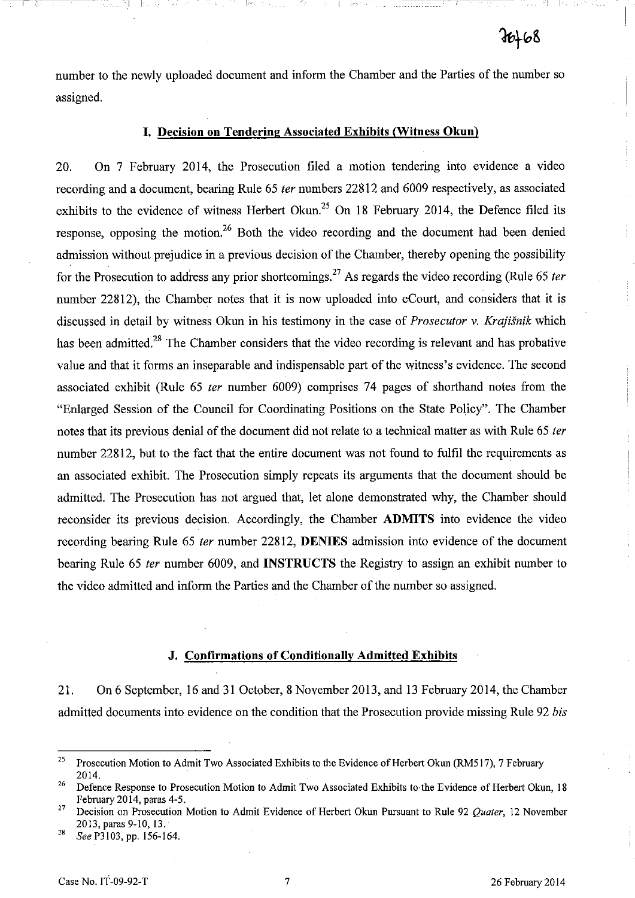number to the newly uploaded document and inform the Chamber and the Parties of the number so assigned.

!---

# I. Decision on Tendering Associated Exhibits (Witness Okun)

20. On 7 February 2014, the Prosecution filed a motion tendering into evidence a video recording and a document, bearing Rule 65 ter numbers 22812 and 6009 respectively, as associated exhibits to the evidence of witness Herbert Okun.<sup>25</sup> On 18 February 2014, the Defence filed its response, opposing the motion.<sup>26</sup> Both the video recording and the document had been denied admission without prejudice in a previous decision of the Chamber, thereby opening the possibility for the Prosecution to address any prior shortcomings.<sup>27</sup> As regards the video recording (Rule 65 *ter* number 22812), the Chamber notes that it is now uploaded into eCourt, and considers that it is discussed in detail by witness Okun in his testimony in the case of Prosecutor v. *Krajisnik* which has been admitted.<sup>28</sup> The Chamber considers that the video recording is relevant and has probative value and that it forms an inseparable and indispensable part of the witness's evidence. The second associated exhibit (Rule 65 ter number 6009) comprises 74 pages of shorthand notes from the "Enlarged Session of the Council for Coordinating Positions on the State Policy". The Chamber notes that its previous denial of the document did not relate to a technical matter as with Rule 65 ter number 22812, but to the fact that the entire document was not found to fulfil the requirements as an associated exhibit. The Prosecution simply repeats its arguments that the document should be admitted. The Prosecution has not argued that, let alone demonstrated why, the Chamber should reconsider its previous decision. Accordingly, the Chamber ADMITS into evidence the video recording bearing Rule 65 ter number 22812, DENIES admission into evidence of the document bearing Rule 65 ter number 6009, and **INSTRUCTS** the Registry to assign an exhibit number to the video admitted and inform the Parties and the Chamber of the number so assigned.

#### J. Confirmations of Conditionally Admitted Exhibits

21. On 6 September, 16 and 31 October, 8 November 2013, and 13 February 2014, the Chamber admitted documents into evidence on the condition that the Prosecution provide missing Rule 92 *bis* 

<sup>28</sup>*See* P3103, pp. 156-164.

<sup>&</sup>lt;sup>25</sup> Prosecution Motion to Admit Two Associated Exhibits to the Evidence of Herbert Okun (RM517), 7 February 2014.

<sup>&</sup>lt;sup>26</sup> Defence Response to Prosecution Motion to Admit Two Associated Exhibits to the Evidence of Herbert Okun, 18 February 2014, paras 4-5.

<sup>27</sup> Decision on Prosecution Motion to Admit Evidence of Herbert Okun Pursuant to Rule 92 *Quater,* 12 November 2013, paras 9-10,13.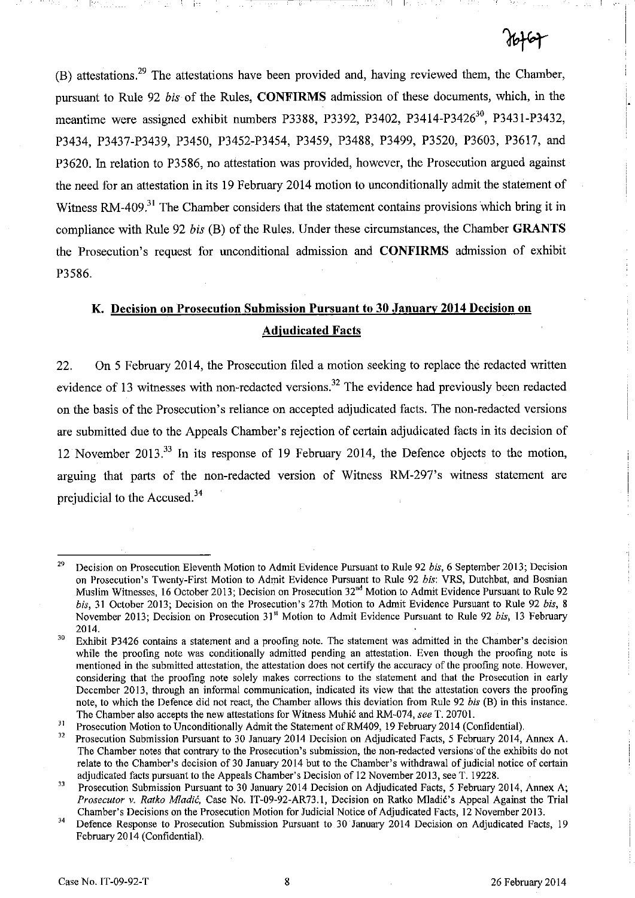$(B)$  attestations.<sup>29</sup> The attestations have been provided and, having reviewed them, the Chamber, pursuant to Rule 92 *bis* of the Rules, **CONFIRMS** admission of these documents, which, in the meantime were assigned exhibit numbers P3388, P3392, P3402, P3414-P3426<sup>30</sup>, P3431-P3432, P3434, P3437-P3439, P3450, P3452~P3454, P3459, P3488, P3499, P3520, P3603, P3617, and P3620. In relation to P3586, no attestation was provided, however, the Prosecution argued against the need for an attestation in its 19 February 2014 motion to unconditionally admit the statement of Witness RM-409<sup>31</sup> The Chamber considers that the statement contains provisions which bring it in compliance with Rule 92 *bis* (B) of the Rules. Under these circumstances, the Chamber **GRANTS**  the Prosecution's request for unconditional admission and **CONFIRMS** admission of exhibit P3586.

... I I

# **K. Decision on Prosecution Submission Pursuant to 30 January 2014 Decision on Adjudicated Facts**

22. On 5 February 2014, the Prosecution filed a motion seeking to replace the redacted written evidence of 13 witnesses with non-redacted versions.<sup>32</sup> The evidence had previously been redacted on the basis of the Prosecution's reliance on accepted adjudicated facts. The non-redacted versions are submitted due to the Appeals Chamber's rejection of certain adjudicated facts in its decision of 12 November 2013.33 In its response of 19 February 2014, the Defence objects to the motion, arguing that parts of the non-redacted version of Witness RM-297's witness statement are prejudicial to the Accused.<sup>34</sup>

<sup>29</sup> Decision on Prosecution Eleventh Motion to Admit Evidence Pursuant to Rule 92 *bis.* 6 September 2013; Decision on Prosecution's Twenty-First Motion to Admit Evidence Pursuant to Rule 92 *bis:* VRS, Dutchbat, and Bosnian Muslim Witnesses, 16 October 2013; Decision on Prosecution 32"d Motion to Admit Evidence Pursuant to Rule 92 *bis,* 31 October 2013; Decision on the Prosecution's 27th Motion to Admit Evidence Pursuant to Rule 92 *bis,* 8 November 2013; Decision on Prosecution 31" Motion to Admit Evidence Pursuant to Rule 92 *bis,* 13 February 2014.

<sup>&</sup>lt;sup>30</sup> Exhibit P3426 contains a statement and a proofing note. The statement was admitted in the Chamber's decision while the proofing note was conditionally admitted pending an attestation. Even though the proofing note is mentioned in the submitted attestation, the attestation does not certify the accuracy of the proofing note. However, considering that the proofing note solely makes corrections to the statement and that the Prosecution in early December 2013, through an informal communication, indicated its view that the attestation covers the proofing note, to which the Defence did not react, the Chamber allows this deviation from Rule 92 *bis* (B) in this instance. The Chamber also accepts the new attestations for Witness Muhic and RM-074, *see* T. 20701.

Jl Prosecution Motion to Unconditionally Admit the Statement of RM409, 19 February 2014 (Confidential).

<sup>&</sup>lt;sup>32</sup> Prosecution Submission Pursuant to 30 January 2014 Decision on Adjudicated Facts, 5 February 2014, Annex A. The Chamber notes that contrary to the Prosecution's submission, the non-redacted versions of the exhibits do not relate to the Chamber's decision of 30 January 2014 but to the Chamber's withdrawal of judicial notice of certain adjudicated facts pursuant to the Appeals Chamber's Decision of 12 November 2013, see T. 19228.

<sup>3</sup>J Prosecution Submission Pursuant to 30 January 2014 Decision on Adjudicated Facts, 5 February 2014, Annex A; *Prosecutor v. Ratko Mladic.* Case No. IT-09-92-AR73.1, Decision on Ratko Mladic's Appeal Against the Trial Chamber's Decisions on the Prosecution Motion for Judicial Notice of Adjudicated Facts, 12 November 2013.

<sup>&</sup>lt;sup>34</sup> Defence Response to Prosecution Submission Pursuant to 30 January 2014 Decision on Adjudicated Facts, 19 February 2014 (Confidential).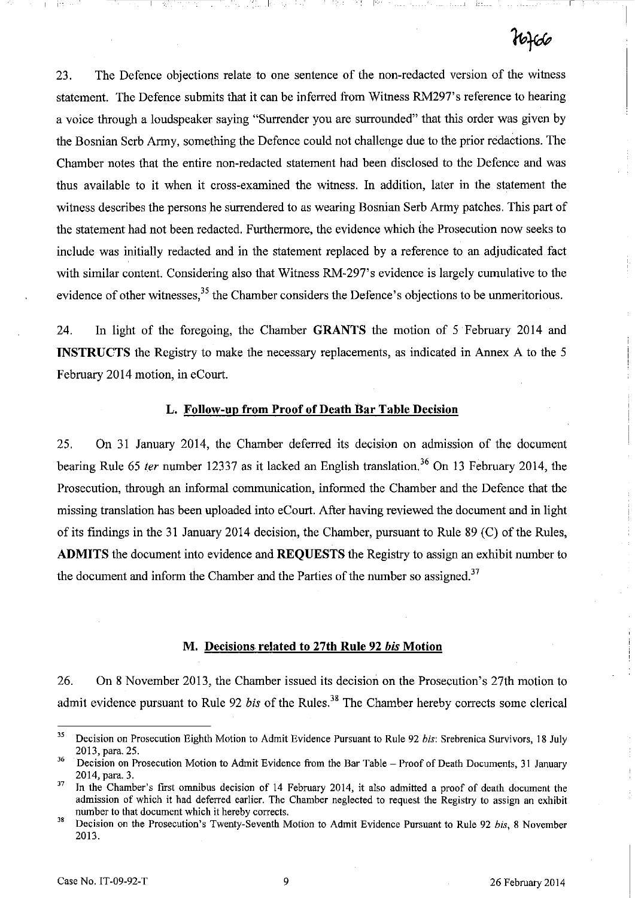IX: T .a., Richard Called Hitler

23. The Defence objections relate to one sentence of the non-redacted version of the witness statement. The Defence submits that it can be inferred from Witness RM297's reference to hearing a voice through a loudspeaker saying "Surrender you are surrounded" that this order was given by the Bosnian Serb Army, something the Defence could not challenge due to the prior redactions. The Chamber notes that the entire non-redacted statement had been disclosed to the Defence and was thus available to it when it cross-examined the witness. In addition, later in the statement the witness describes the persons he surrendered to as wearing Bosnian Serb Army patches. This part of the statement had not been redacted. Furthermore, the evidence which the Prosecution now seeks to include was initially redacted and in the statement replaced by a reference to an adjudicated fact with similar content. Considering also that Witness RM-297's evidence is largely cumulative to the evidence of other witnesses,<sup>35</sup> the Chamber considers the Defence's objections to be unmeritorious.

24. In light of the foregoing, the Chamber GRANTS the motion of 5 February 2014 and INSTRUCTS the Registry to make the necessary replacements, as indicated in Annex A to the 5 February 2014 motion, in eCourt.

#### L. Follow-up from Proof of Death Bar Table Decision

25. On 31 January 2014, the Chamber deferred its decision on admission of the document bearing Rule 65 *ter* number 12337 as it lacked an English translation.<sup>36</sup> On 13 February 2014, the Prosecution, through an informal communication, informed the Chamber and the Defence that the missing translation has been uploaded into eCourt. After having reviewed the document and in light of its findings in the 31 January 2014 decision, the Chamber, pursuant to Rule 89 (C) of the Rules, ADMITS the document into evidence and REQUESTS the Registry to assign an exhibit number to the document and inform the Chamber and the Parties of the number so assigned.<sup>37</sup>

#### M. Decisions related to 27th Rule 92 bis Motion

26. On 8 November 2013, the Chamber issued its decision on the Prosecution's 27th motion to admit evidence pursuant to Rule 92 *bis* of the Rules.<sup>38</sup> The Chamber hereby corrects some clerical

<sup>35</sup> Decision on Prosecution Eighth Motion to Admit Evidence Pursuant to Rule 92 *his:* Srebrenica Survivors, 18 July 2013, para. 25.

<sup>&</sup>lt;sup>36</sup> Decision on Prosecution Motion to Admit Evidence from the Bar Table - Proof of Death Documents, 31 January 2014, para. 3.

<sup>&</sup>lt;sup>37</sup> In the Chamber's first omnibus decision of 14 February 2014, it also admitted a proof of death document the admission of which it had deferred earlier. The Chamber neglected to request the Registry to assign an exhibit number to that document which it hereby corrects.

<sup>&</sup>lt;sup>38</sup> Decision on the Prosecution's Twenty-Seventh Motion to Admit Evidence Pursuant to Rule 92 *bis*, 8 November 2013.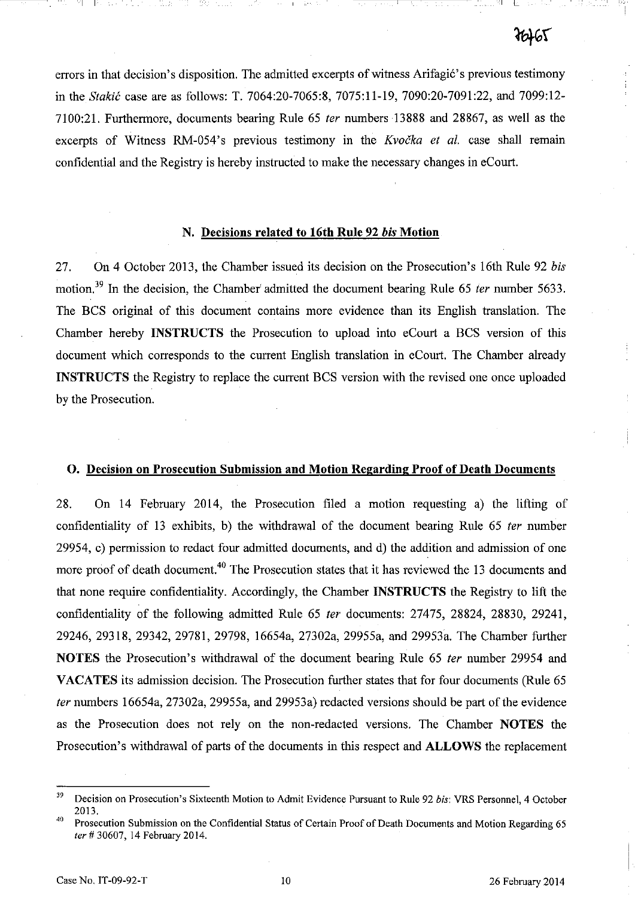errors in that decision's disposition. The admitted excerpts of witness Arifagić's previous testimony in the *Stakić* case are as follows: T. 7064:20-7065:8, 7075:11-19, 7090:20-7091:22, and 7099:12-7100:21. Furthermore, documents bearing Rule 65 fer numbers 13888 and 28867, as well as the excerpts of Witness RM-054's previous testimony in the Kvocka et al. case shall remain confidential and the Registry is hereby instructed to make the necessary changes in eCourt.

#### N. Decisions related to 16th Rule 92 bis Motion

27. On 4 October 2013, the Chamber issued its decision on the Prosecution's 16th Rule 92 *his*  motion.<sup>39</sup> In the decision, the Chamber' admitted the document bearing Rule 65 *ter* number 5633. The BCS original of this document contains more evidence than its English translation. The Chamber hereby INSTRUCTS the Prosecution to upload into eCourt a BCS version of this document which corresponds to the current English translation in eCourt. The Chamber already INSTRUCTS the Registry to replace the current BCS version with the revised one once uploaded by the Prosecution.

## O. Decision on Prosecution Submission and Motion Regarding Proof of Death Documents

28. On 14 February 2014, the Prosecution filed a motion requesting a) the lifting of confidentiality of 13 exhibits, b) the withdrawal of the document bearing Rule 65 ter number 29954, c) permission to redact four admitted documents, and d) the addition and admission of one more proof of death document.<sup>40</sup> The Prosecution states that it has reviewed the 13 documents and that none require confidentiality. Accordingly, the Chamber INSTRUCTS the Registry to lift the confidentiality of the following admitted Rule 65 fer documents: 27475, 28824, 28830, 29241, 29246, 29318, 29342, 29781, 29798, 16654a, 27302a, 29955a, and 29953a. The Chamber further NOTES the Prosecution's withdrawal of the document bearing Rule 65 fer number 29954 and VACATES its admission decision. The Prosecution further states that for four documents (Rule 65) fer numbers 16654a, 27302a, 29955a, and 29953a) redacted versions should be part of the evidence as the Prosecution does not rely on the non-redacted versions. The Chamber NOTES the Prosecution's withdrawal of parts of the documents in this respect and ALLOWS the replacement

J9 Decision on Prosecution's Sixteenth Motion to Admit Evidence Pursuant to Rule 92 *his:* VRS Personnel, 4 October 2013.

<sup>&</sup>lt;sup>40</sup> Prosecution Submission on the Confidential Status of Certain Proof of Death Documents and Motion Regarding 65 ter # 30607, 14 February 2014.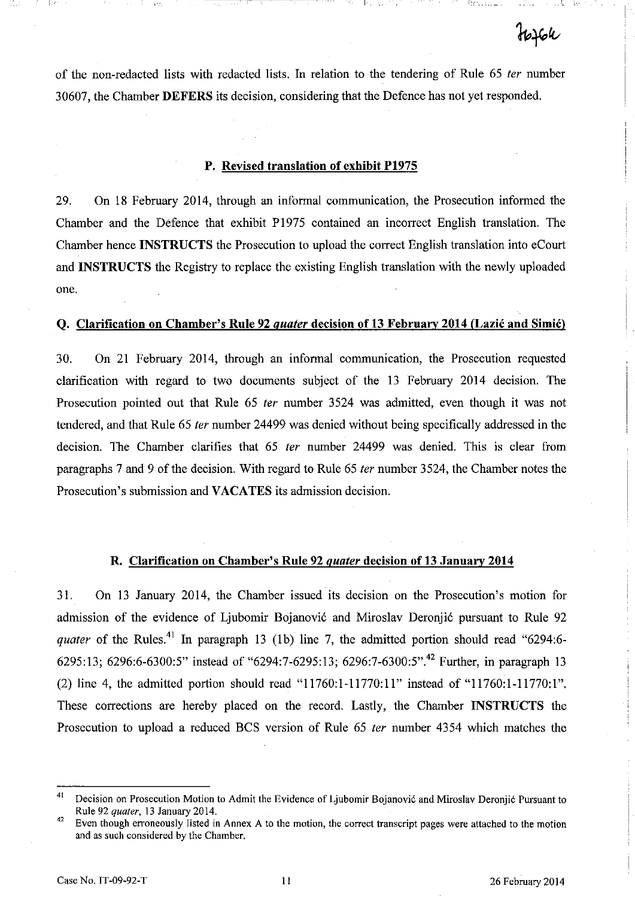of the non-redacted lists with redacted lists. In relation to the tendering of Rule 65 *ter* number 30607, the Chamber **DEFERS** its decision, considering that the Defence has not yet responded.

I

#### **P. Revised translation of exhibit P1975**

29. On 18 February 2014, through an informal communication, the Prosecution informed the Chamber and the Defence that exhibit P1975 contained an incorrect English translation. The Chamber hence **INSTRUCTS** the Prosecution to upload the correct English translation into eCourt and **INSTRUCTS** the Registry to replace the existing English translation with the newly uploaded one.

#### **Q. Clarification on Chamber's Rule 92** *quater* **decision of 13 February 2014 (Lazic and Simic)**

30. On 21 February 2014, through an informal communication, the Prosecution requested clarification with regard to two documents subject of the 13 February 2014 decision. The Prosecution pointed out that Rule 65 *ter* number 3524 was admitted, even though it was not tendered, and that Rule 65 *ter* number 24499 was denied without being specifically addressed in the decision. The Chamber clarifies that 65 *ter* number 24499 was denied. This is clear from paragraphs 7 and 9 of the decision. With regard to Rule 65 *ter* number 3524, the Chamber notes the Prosecution's submission and **VACATES** its admission decision.

#### **R. Clarification on Chamber's Rule 92** *quater* **decision of 13 January 2014**

31. On 13 January 2014, the Chamber issued its decision on the Prosecution's motion for admission of the evidence of Ljubomir Bojanović and Miroslav Deronjić pursuant to Rule 92 *quater* of the Rules.<sup>41</sup> In paragraph 13 (1b) line 7, the admitted portion should read "6294:6-6295:13; 6296:6-6300:5" instead of "6294:7-6295:13; 6296:7-6300:5".42 Further, in paragraph 13 (2) line 4, the admitted portion should read "11760:1-11770:11" instead of "11760:1-11770:1". These corrections are hereby placed on the record. Lastly, the Chamber **INSTRUCTS** the Prosecution to upload a reduced BCS version of Rule 65 *ter* number 4354 which matches the

<sup>&</sup>lt;sup>41</sup> Decision on Prosecution Motion to Admit the Evidence of Ljubomir Bojanović and Miroslav Deronjić Pursuant to Rule 92 *quater,* 13 January 2014.

<sup>&</sup>lt;sup>42</sup> Even though erroneously listed in Annex A to the motion, the correct transcript pages were attached to the motion and as such considered by the Chamber.